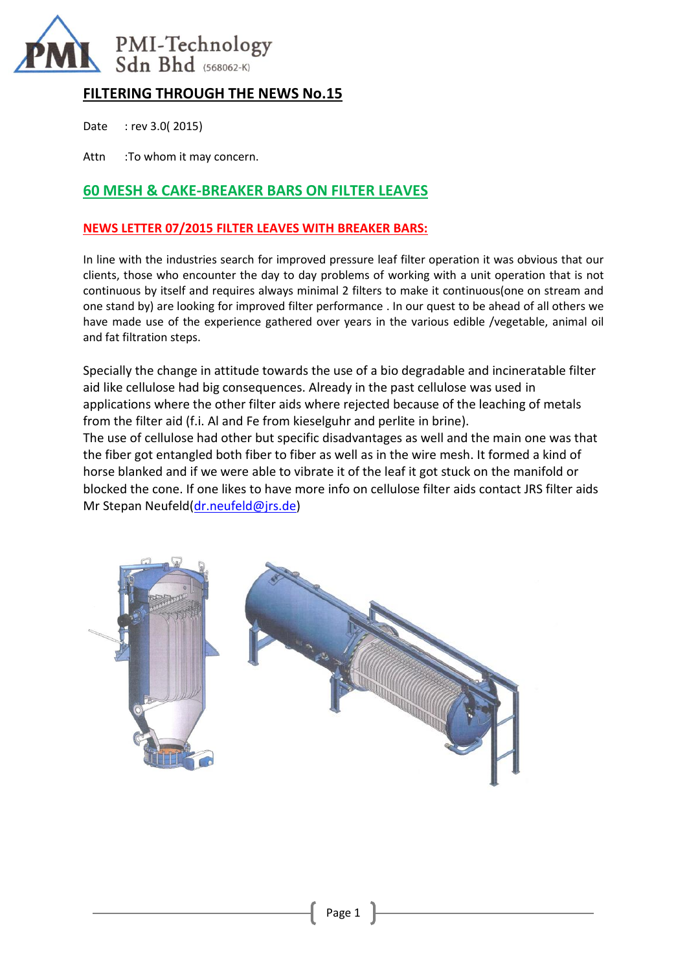

# **FILTERING THROUGH THE NEWS No.15**

Date : rev 3.0( 2015)

Attn :To whom it may concern.

## **60 MESH & CAKE-BREAKER BARS ON FILTER LEAVES**

### **NEWS LETTER 07/2015 FILTER LEAVES WITH BREAKER BARS:**

In line with the industries search for improved pressure leaf filter operation it was obvious that our clients, those who encounter the day to day problems of working with a unit operation that is not continuous by itself and requires always minimal 2 filters to make it continuous(one on stream and one stand by) are looking for improved filter performance . In our quest to be ahead of all others we have made use of the experience gathered over years in the various edible /vegetable, animal oil and fat filtration steps.

Specially the change in attitude towards the use of a bio degradable and incineratable filter aid like cellulose had big consequences. Already in the past cellulose was used in applications where the other filter aids where rejected because of the leaching of metals from the filter aid (f.i. Al and Fe from kieselguhr and perlite in brine). The use of cellulose had other but specific disadvantages as well and the main one was that

the fiber got entangled both fiber to fiber as well as in the wire mesh. It formed a kind of horse blanked and if we were able to vibrate it of the leaf it got stuck on the manifold or blocked the cone. If one likes to have more info on cellulose filter aids contact JRS filter aids Mr Stepan Neufeld[\(dr.neufeld@jrs.de\)](mailto:dr.neufeld@jrs.de)

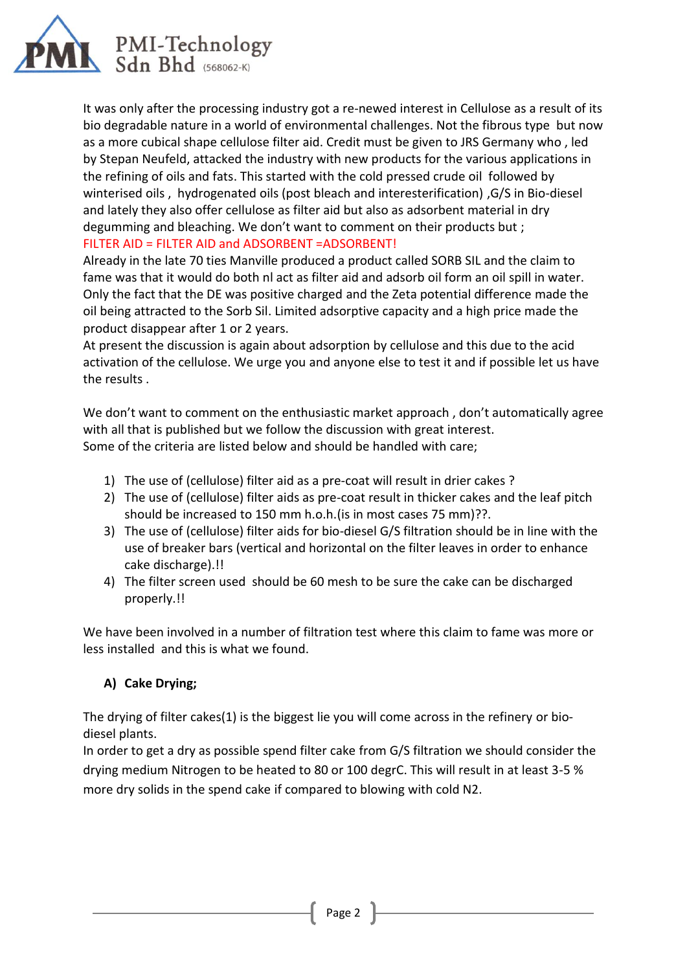

It was only after the processing industry got a re-newed interest in Cellulose as a result of its bio degradable nature in a world of environmental challenges. Not the fibrous type but now as a more cubical shape cellulose filter aid. Credit must be given to JRS Germany who , led by Stepan Neufeld, attacked the industry with new products for the various applications in the refining of oils and fats. This started with the cold pressed crude oil followed by winterised oils , hydrogenated oils (post bleach and interesterification) ,G/S in Bio-diesel and lately they also offer cellulose as filter aid but also as adsorbent material in dry degumming and bleaching. We don't want to comment on their products but ; FILTER AID = FILTER AID and ADSORBENT =ADSORBENT!

Already in the late 70 ties Manville produced a product called SORB SIL and the claim to fame was that it would do both nl act as filter aid and adsorb oil form an oil spill in water. Only the fact that the DE was positive charged and the Zeta potential difference made the oil being attracted to the Sorb Sil. Limited adsorptive capacity and a high price made the product disappear after 1 or 2 years.

At present the discussion is again about adsorption by cellulose and this due to the acid activation of the cellulose. We urge you and anyone else to test it and if possible let us have the results .

We don't want to comment on the enthusiastic market approach, don't automatically agree with all that is published but we follow the discussion with great interest. Some of the criteria are listed below and should be handled with care;

- 1) The use of (cellulose) filter aid as a pre-coat will result in drier cakes ?
- 2) The use of (cellulose) filter aids as pre-coat result in thicker cakes and the leaf pitch should be increased to 150 mm h.o.h.(is in most cases 75 mm)??.
- 3) The use of (cellulose) filter aids for bio-diesel G/S filtration should be in line with the use of breaker bars (vertical and horizontal on the filter leaves in order to enhance cake discharge).!!
- 4) The filter screen used should be 60 mesh to be sure the cake can be discharged properly.!!

We have been involved in a number of filtration test where this claim to fame was more or less installed and this is what we found.

# **A) Cake Drying;**

The drying of filter cakes(1) is the biggest lie you will come across in the refinery or biodiesel plants.

In order to get a dry as possible spend filter cake from G/S filtration we should consider the drying medium Nitrogen to be heated to 80 or 100 degrC. This will result in at least 3-5 % more dry solids in the spend cake if compared to blowing with cold N2.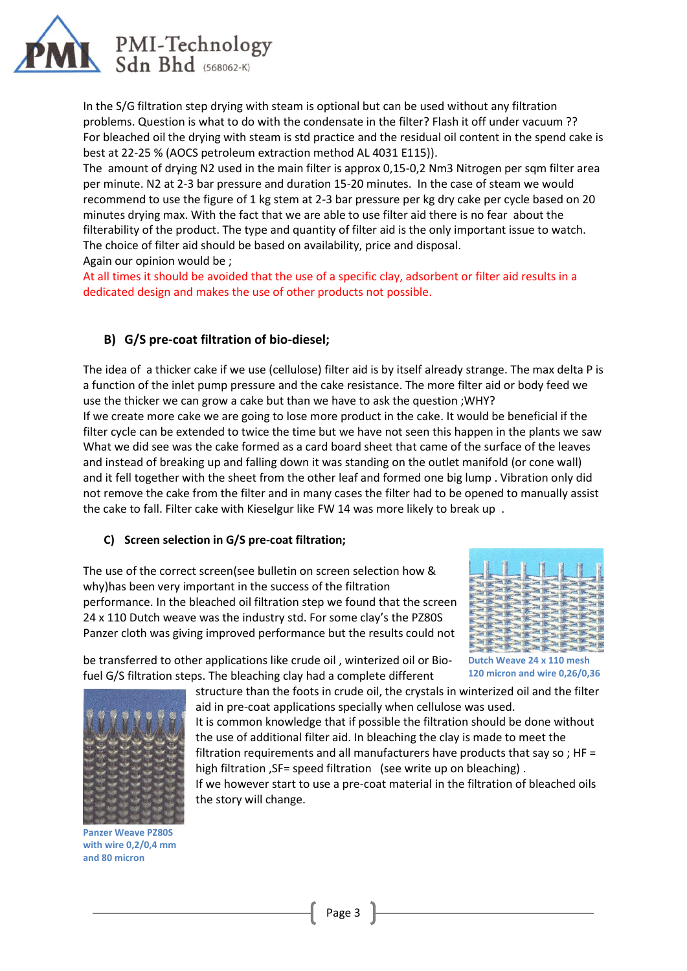

In the S/G filtration step drying with steam is optional but can be used without any filtration problems. Question is what to do with the condensate in the filter? Flash it off under vacuum ?? For bleached oil the drying with steam is std practice and the residual oil content in the spend cake is best at 22-25 % (AOCS petroleum extraction method AL 4031 E115)).

The amount of drying N2 used in the main filter is approx 0,15-0,2 Nm3 Nitrogen per sqm filter area per minute. N2 at 2-3 bar pressure and duration 15-20 minutes. In the case of steam we would recommend to use the figure of 1 kg stem at 2-3 bar pressure per kg dry cake per cycle based on 20 minutes drying max. With the fact that we are able to use filter aid there is no fear about the filterability of the product. The type and quantity of filter aid is the only important issue to watch. The choice of filter aid should be based on availability, price and disposal. Again our opinion would be ;

At all times it should be avoided that the use of a specific clay, adsorbent or filter aid results in a dedicated design and makes the use of other products not possible.

### **B) G/S pre-coat filtration of bio-diesel;**

The idea of a thicker cake if we use (cellulose) filter aid is by itself already strange. The max delta P is a function of the inlet pump pressure and the cake resistance. The more filter aid or body feed we use the thicker we can grow a cake but than we have to ask the question ;WHY? If we create more cake we are going to lose more product in the cake. It would be beneficial if the filter cycle can be extended to twice the time but we have not seen this happen in the plants we saw What we did see was the cake formed as a card board sheet that came of the surface of the leaves and instead of breaking up and falling down it was standing on the outlet manifold (or cone wall) and it fell together with the sheet from the other leaf and formed one big lump . Vibration only did not remove the cake from the filter and in many cases the filter had to be opened to manually assist the cake to fall. Filter cake with Kieselgur like FW 14 was more likely to break up .

#### **C) Screen selection in G/S pre-coat filtration;**

The use of the correct screen(see bulletin on screen selection how & why)has been very important in the success of the filtration performance. In the bleached oil filtration step we found that the screen 24 x 110 Dutch weave was the industry std. For some clay's the PZ80S Panzer cloth was giving improved performance but the results could not



be transferred to other applications like crude oil , winterized oil or Biofuel G/S filtration steps. The bleaching clay had a complete different

structure than the foots in crude oil, the crystals in winterized oil and the filter **120 micron and wire 0,26/0,36**



**Panzer Weave PZ80S with wire 0,2/0,4 mm and 80 micron**

aid in pre-coat applications specially when cellulose was used.

It is common knowledge that if possible the filtration should be done without the use of additional filter aid. In bleaching the clay is made to meet the filtration requirements and all manufacturers have products that say so;  $HF =$ high filtration , SF= speed filtration (see write up on bleaching).

If we however start to use a pre-coat material in the filtration of bleached oils the story will change.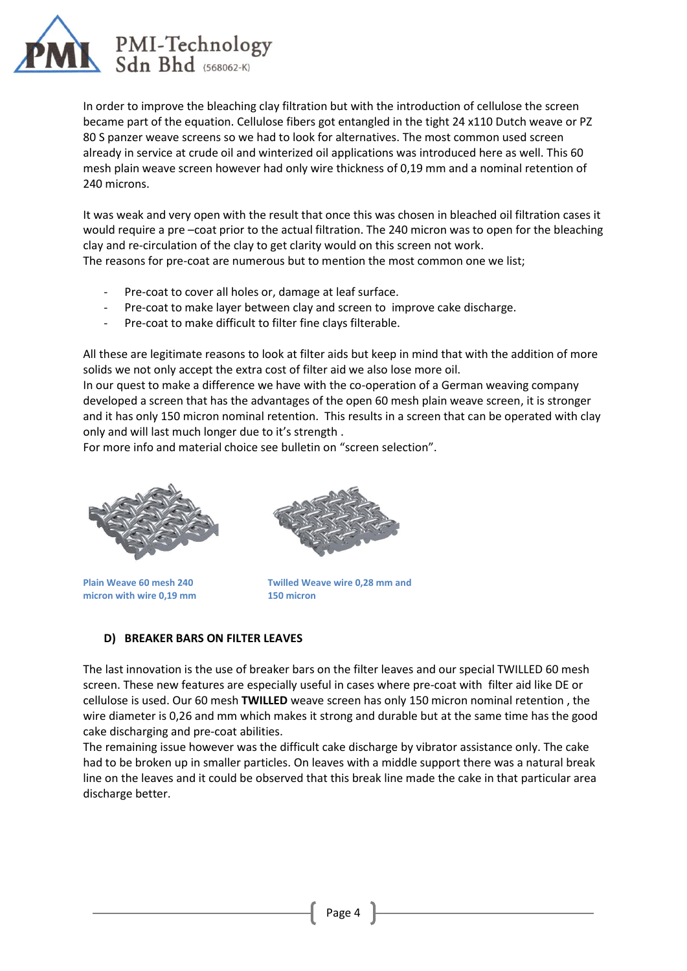

In order to improve the bleaching clay filtration but with the introduction of cellulose the screen became part of the equation. Cellulose fibers got entangled in the tight 24 x110 Dutch weave or PZ 80 S panzer weave screens so we had to look for alternatives. The most common used screen already in service at crude oil and winterized oil applications was introduced here as well. This 60 mesh plain weave screen however had only wire thickness of 0,19 mm and a nominal retention of 240 microns.

It was weak and very open with the result that once this was chosen in bleached oil filtration cases it would require a pre –coat prior to the actual filtration. The 240 micron was to open for the bleaching clay and re-circulation of the clay to get clarity would on this screen not work. The reasons for pre-coat are numerous but to mention the most common one we list;

- Pre-coat to cover all holes or, damage at leaf surface.
- Pre-coat to make layer between clay and screen to improve cake discharge.
- Pre-coat to make difficult to filter fine clays filterable.

All these are legitimate reasons to look at filter aids but keep in mind that with the addition of more solids we not only accept the extra cost of filter aid we also lose more oil.

In our quest to make a difference we have with the co-operation of a German weaving company developed a screen that has the advantages of the open 60 mesh plain weave screen, it is stronger and it has only 150 micron nominal retention. This results in a screen that can be operated with clay only and will last much longer due to it's strength .

For more info and material choice see bulletin on "screen selection".



**Plain Weave 60 mesh 240 micron with wire 0,19 mm**



**Twilled Weave wire 0,28 mm and 150 micron**

#### **D) BREAKER BARS ON FILTER LEAVES**

The last innovation is the use of breaker bars on the filter leaves and our special TWILLED 60 mesh screen. These new features are especially useful in cases where pre-coat with filter aid like DE or cellulose is used. Our 60 mesh **TWILLED** weave screen has only 150 micron nominal retention , the wire diameter is 0,26 and mm which makes it strong and durable but at the same time has the good cake discharging and pre-coat abilities.

The remaining issue however was the difficult cake discharge by vibrator assistance only. The cake had to be broken up in smaller particles. On leaves with a middle support there was a natural break line on the leaves and it could be observed that this break line made the cake in that particular area discharge better.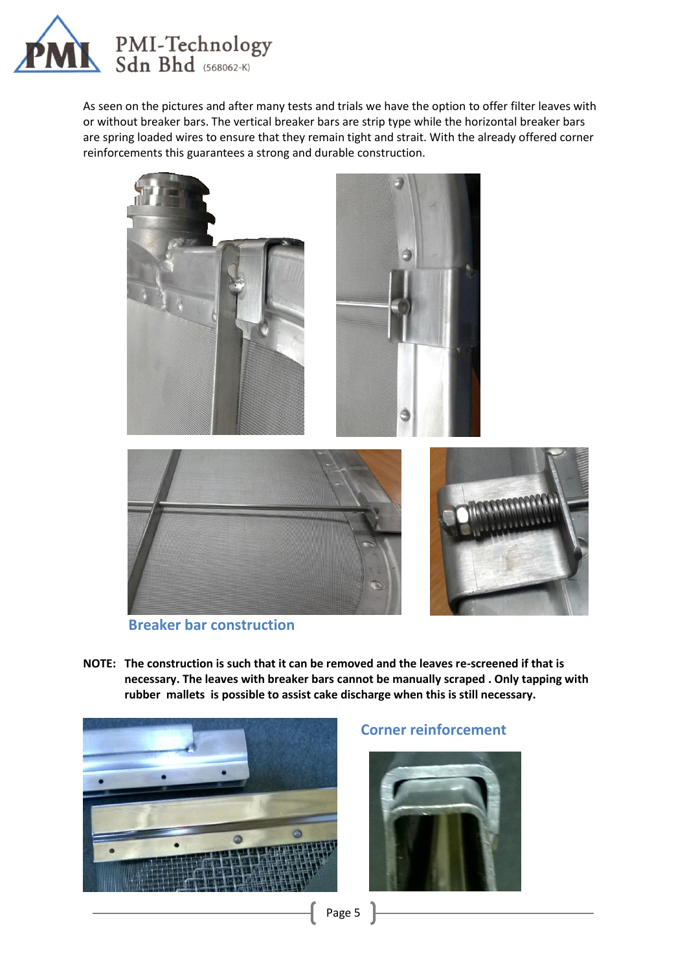

As seen on the pictures and after many tests and trials we have the option to offer filter leaves with or without breaker bars. The vertical breaker bars are strip type while the horizontal breaker bars are spring loaded wires to ensure that they remain tight and strait. With the already offered corner reinforcements this guarantees a strong and durable construction.



**Breaker bar construction**

**NOTE: The construction is such that it can be removed and the leaves re-screened if that is necessary. The leaves with breaker bars cannot be manually scraped . Only tapping with rubber mallets is possible to assist cake discharge when this is still necessary.** 



### **Corner reinforcement**



Page 5